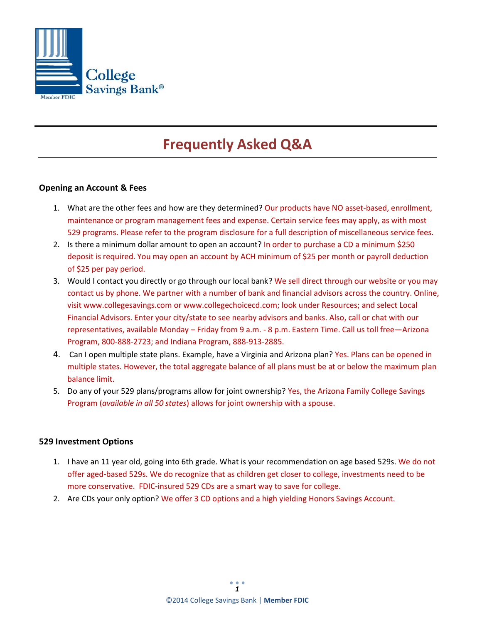

# **Frequently Asked Q&A**

### **Opening an Account & Fees**

- 1. What are the other fees and how are they determined? Our products have NO asset-based, enrollment, maintenance or program management fees and expense. Certain service fees may apply, as with most 529 programs. Please refer to the program disclosure for a full description of miscellaneous service fees.
- 2. Is there a minimum dollar amount to open an account? In order to purchase a CD a minimum \$250 deposit is required. You may open an account by ACH minimum of \$25 per month or payroll deduction of \$25 per pay period.
- 3. Would I contact you directly or go through our local bank? We sell direct through our website or you may contact us by phone. We partner with a number of bank and financial advisors across the country. Online, visit [www.collegesavings.com](http://www.collegesavings.com/) or [www.collegechoicecd.com;](http://www.collegechoicecd.com/) look under Resources; and select Local Financial Advisors. Enter your city/state to see nearby advisors and banks. Also, call or chat with our representatives, available Monday – Friday from 9 a.m. - 8 p.m. Eastern Time. Call us toll free—Arizona Program, 800-888-2723; and Indiana Program, 888-913-2885.
- 4. Can I open multiple state plans. Example, have a Virginia and Arizona plan? Yes. Plans can be opened in multiple states. However, the total aggregate balance of all plans must be at or below the maximum plan balance limit.
- 5. Do any of your 529 plans/programs allow for joint ownership? Yes, the Arizona Family College Savings Program (*available in all 50 states*) allows for joint ownership with a spouse.

#### **529 Investment Options**

- 1. I have an 11 year old, going into 6th grade. What is your recommendation on age based 529s. We do not offer aged-based 529s. We do recognize that as children get closer to college, investments need to be more conservative. FDIC-insured 529 CDs are a smart way to save for college.
- 2. Are CDs your only option? We offer 3 CD options and a high yielding Honors Savings Account.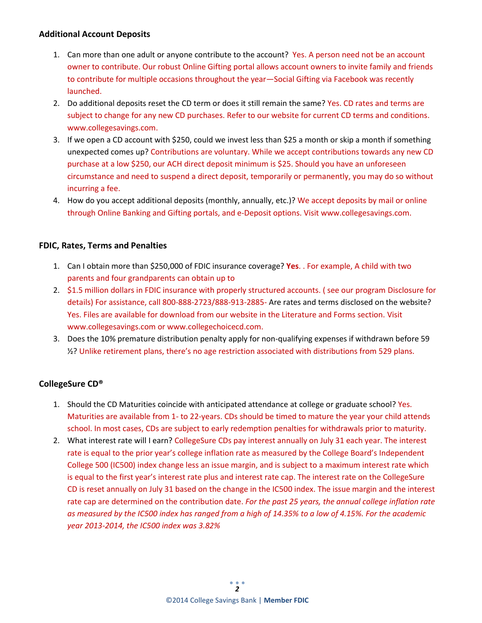## **Additional Account Deposits**

- 1. Can more than one adult or anyone contribute to the account? Yes. A person need not be an account owner to contribute. Our robust Online Gifting portal allows account owners to invite family and friends to contribute for multiple occasions throughout the year—Social Gifting via Facebook was recently launched.
- 2. Do additional deposits reset the CD term or does it still remain the same? Yes. CD rates and terms are subject to change for any new CD purchases. Refer to our website for current CD terms and conditions. www.collegesavings.com.
- 3. If we open a CD account with \$250, could we invest less than \$25 a month or skip a month if something unexpected comes up? Contributions are voluntary. While we accept contributions towards any new CD purchase at a low \$250, our ACH direct deposit minimum is \$25. Should you have an unforeseen circumstance and need to suspend a direct deposit, temporarily or permanently, you may do so without incurring a fee.
- 4. How do you accept additional deposits (monthly, annually, etc.)? We accept deposits by mail or online through Online Banking and Gifting portals, and e-Deposit options. Visit www.collegesavings.com.

# **FDIC, Rates, Terms and Penalties**

- 1. Can I obtain more than \$250,000 of FDIC insurance coverage? **Yes**. . For example, A child with two parents and four grandparents can obtain up to
- 2. \$1.5 million dollars in FDIC insurance with properly structured accounts. ( see our program Disclosure for details) For assistance, call 800-888-2723/888-913-2885- Are rates and terms disclosed on the website? Yes. Files are available for download from our website in the Literature and Forms section. Visit www.collegesavings.com or www.collegechoicecd.com.
- 3. Does the 10% premature distribution penalty apply for non-qualifying expenses if withdrawn before 59 ½? Unlike retirement plans, there's no age restriction associated with distributions from 529 plans.

# **CollegeSure CD®**

- 1. Should the CD Maturities coincide with anticipated attendance at college or graduate school? Yes. Maturities are available from 1- to 22-years. CDs should be timed to mature the year your child attends school. In most cases, CDs are subject to early redemption penalties for withdrawals prior to maturity.
- 2. What interest rate will I earn? CollegeSure CDs pay interest annually on July 31 each year. The interest rate is equal to the prior year's college inflation rate as measured by the College Board's Independent College 500 (IC500) index change less an issue margin, and is subject to a maximum interest rate which is equal to the first year's interest rate plus and interest rate cap. The interest rate on the CollegeSure CD is reset annually on July 31 based on the change in the IC500 index. The issue margin and the interest rate cap are determined on the contribution date. *For the past 25 years, the annual college inflation rate as measured by the IC500 index has ranged from a high of 14.35% to a low of 4.15%. For the academic year 2013-2014, the IC500 index was 3.82%*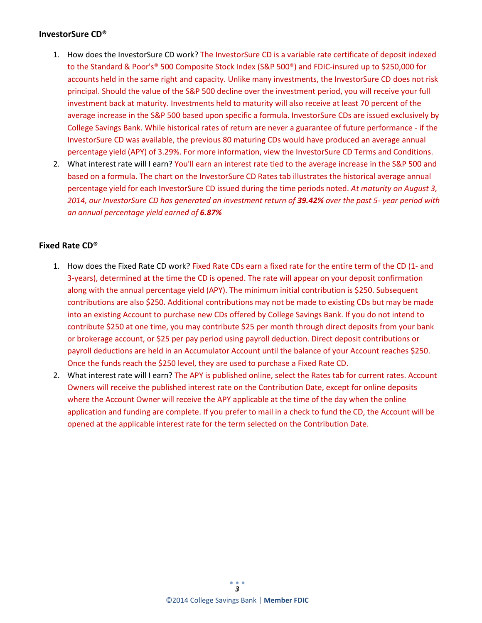## **InvestorSure CD®**

- 1. How does the InvestorSure CD work? The InvestorSure CD is a variable rate certificate of deposit indexed to the Standard & Poor's® 500 Composite Stock Index (S&P 500®) and FDIC-insured up to \$250,000 for accounts held in the same right and capacity. Unlike many investments, the InvestorSure CD does not risk principal. Should the value of the S&P 500 decline over the investment period, you will receive your full investment back at maturity. Investments held to maturity will also receive at least 70 percent of the average increase in the S&P 500 based upon specific a formula. InvestorSure CDs are issued exclusively by College Savings Bank. While historical rates of return are never a guarantee of future performance - if the InvestorSure CD was available, the previous 80 maturing CDs would have produced an average annual percentage yield (APY) of 3.29%. For more information, view the InvestorSure CD Terms and Conditions.
- 2. What interest rate will I earn? You'll earn an interest rate tied to the average increase in the S&P 500 and based on a formula. The chart on the InvestorSure CD Rates tab illustrates the historical average annual percentage yield for each InvestorSure CD issued during the time periods noted. *At maturity on August 3, 2014, our InvestorSure CD has generated an investment return of 39.42% over the past 5- year period with an annual percentage yield earned of 6.87%*

# **Fixed Rate CD®**

- 1. How does the Fixed Rate CD work? Fixed Rate CDs earn a fixed rate for the entire term of the CD (1- and 3-years), determined at the time the CD is opened. The rate will appear on your deposit confirmation along with the annual percentage yield (APY). The minimum initial contribution is \$250. Subsequent contributions are also \$250. Additional contributions may not be made to existing CDs but may be made into an existing Account to purchase new CDs offered by College Savings Bank. If you do not intend to contribute \$250 at one time, you may contribute \$25 per month through direct deposits from your bank or brokerage account, or \$25 per pay period using payroll deduction. Direct deposit contributions or payroll deductions are held in an Accumulator Account until the balance of your Account reaches \$250. Once the funds reach the \$250 level, they are used to purchase a Fixed Rate CD.
- 2. What interest rate will I earn? The APY is published online, select the Rates tab for current rates. Account Owners will receive the published interest rate on the Contribution Date, except for online deposits where the Account Owner will receive the APY applicable at the time of the day when the online application and funding are complete. If you prefer to mail in a check to fund the CD, the Account will be opened at the applicable interest rate for the term selected on the Contribution Date.